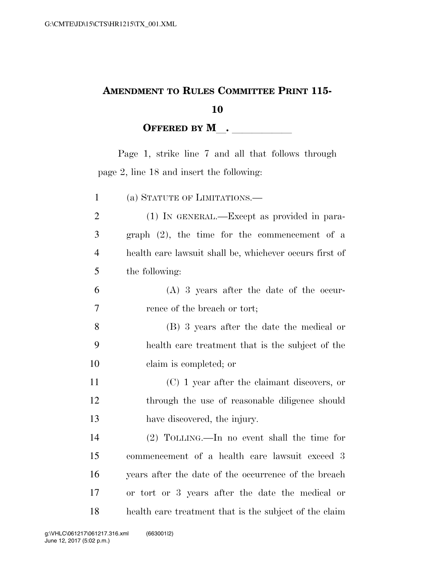## **AMENDMENT TO RULES COMMITTEE PRINT 115-**

## **OFFERED BY <sup>M</sup>**l**.** llllll

Page 1, strike line 7 and all that follows through page 2, line 18 and insert the following:

| $\mathbf{1}$   | (a) STATUTE OF LIMITATIONS.—                            |
|----------------|---------------------------------------------------------|
| $\overline{2}$ | $(1)$ In GENERAL.—Except as provided in para-           |
| 3              | graph $(2)$ , the time for the commencement of a        |
| $\overline{4}$ | health care lawsuit shall be, whichever occurs first of |
| 5              | the following:                                          |
| 6              | $(A)$ 3 years after the date of the occur-              |
| 7              | rence of the breach or tort;                            |
| 8              | (B) 3 years after the date the medical or               |
| 9              | health care treatment that is the subject of the        |
| 10             | claim is completed; or                                  |
| 11             | $(C)$ 1 year after the claimant discovers, or           |
| 12             | through the use of reasonable diligence should          |
| 13             | have discovered, the injury.                            |
| 14             | $(2)$ TOLLING.—In no event shall the time for           |
| 15             | commencement of a health care lawsuit exceed 3          |
| 16             | years after the date of the occurrence of the breach    |
| 17             | or tort or 3 years after the date the medical or        |
| 18             | health care treatment that is the subject of the claim  |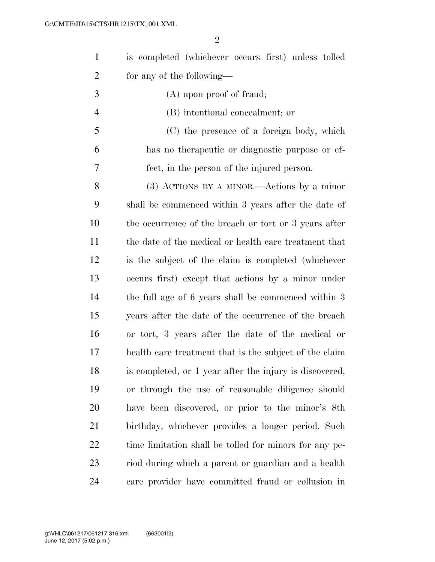| $\mathbf{1}$   | is completed (whichever occurs first) unless tolled     |
|----------------|---------------------------------------------------------|
| $\overline{2}$ | for any of the following—                               |
| 3              | (A) upon proof of fraud;                                |
| $\overline{4}$ | (B) intentional concealment; or                         |
| 5              | (C) the presence of a foreign body, which               |
| 6              | has no therapeutic or diagnostic purpose or ef-         |
| 7              | fect, in the person of the injured person.              |
| 8              | $(3)$ ACTIONS BY A MINOR.—Actions by a minor            |
| 9              | shall be commenced within 3 years after the date of     |
| 10             | the occurrence of the breach or tort or 3 years after   |
| 11             | the date of the medical or health care treatment that   |
| 12             | is the subject of the claim is completed (whichever     |
| 13             | occurs first) except that actions by a minor under      |
| 14             | the full age of 6 years shall be commenced within 3     |
| 15             | years after the date of the occurrence of the breach    |
| 16             | or tort, 3 years after the date of the medical or       |
| 17             | health care treatment that is the subject of the claim  |
| 18             | is completed, or 1 year after the injury is discovered, |
| 19             | or through the use of reasonable diligence should       |
| 20             | have been discovered, or prior to the minor's 8th       |
| 21             | birthday, whichever provides a longer period. Such      |
| 22             | time limitation shall be tolled for minors for any pe-  |
| 23             | riod during which a parent or guardian and a health     |
| 24             | care provider have committed fraud or collusion in      |